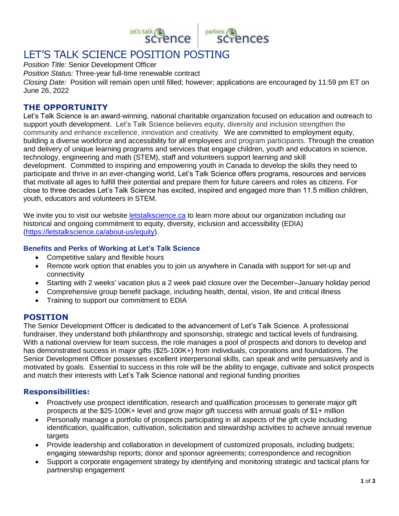

# LET'S TALK SCIENCE POSITION POSTING

*Position Title:* Senior Development Officer

*Position Status:* Three-year full-time renewable contract

*Closing Date:* Position will remain open until filled; however; applications are encouraged by 11:59 pm ET on June 26, 2022

#### **THE OPPORTUNITY**

Let's Talk Science is an award-winning, national charitable organization focused on education and outreach to support youth development. Let's Talk Science believes equity, diversity and inclusion strengthen the community and enhance excellence, innovation and creativity. We are committed to employment equity, building a diverse workforce and accessibility for all employees and program participants*.* Through the creation and delivery of unique learning programs and services that engage children, youth and educators in science, technology, engineering and math (STEM), staff and volunteers support learning and skill development. Committed to inspiring and empowering youth in Canada to develop the skills they need to participate and thrive in an ever-changing world, Let's Talk Science offers programs, resources and services that motivate all ages to fulfill their potential and prepare them for future careers and roles as citizens. For close to three decades Let's Talk Science has excited, inspired and engaged more than 11.5 million children, youth, educators and volunteers in STEM.

We invite you to visit our website [letstalkscience.ca](http://www.letstalkscience.ca/) to learn more about our organization including our historical and ongoing commitment to equity, diversity, inclusion and accessibility (EDIA) [\(https://letstalkscience.ca/about-us/equity\)](https://letstalkscience.ca/about-us/equity).

#### **Benefits and Perks of Working at Let's Talk Science**

- Competitive salary and flexible hours
- Remote work option that enables you to join us anywhere in Canada with support for set-up and connectivity
- Starting with 2 weeks' vacation plus a 2 week paid closure over the December–January holiday period
- Comprehensive group benefit package, including health, dental, vision, life and critical illness
- Training to support our commitment to EDIA

# **POSITION**

The Senior Development Officer is dedicated to the advancement of Let's Talk Science. A professional fundraiser, they understand both philanthropy and sponsorship, strategic and tactical levels of fundraising. With a national overview for team success, the role manages a pool of prospects and donors to develop and has demonstrated success in major gifts (\$25-100K+) from individuals, corporations and foundations. The Senior Development Officer possesses excellent interpersonal skills, can speak and write persuasively and is motivated by goals. Essential to success in this role will be the ability to engage, cultivate and solicit prospects and match their interests with Let's Talk Science national and regional funding priorities

## **Responsibilities:**

- Proactively use prospect identification, research and qualification processes to generate major gift prospects at the \$25-100K+ level and grow major gift success with annual goals of \$1+ million
- Personally manage a portfolio of prospects participating in all aspects of the gift cycle including identification, qualification, cultivation, solicitation and stewardship activities to achieve annual revenue targets
- Provide leadership and collaboration in development of customized proposals, including budgets; engaging stewardship reports; donor and sponsor agreements; correspondence and recognition
- Support a corporate engagement strategy by identifying and monitoring strategic and tactical plans for partnership engagement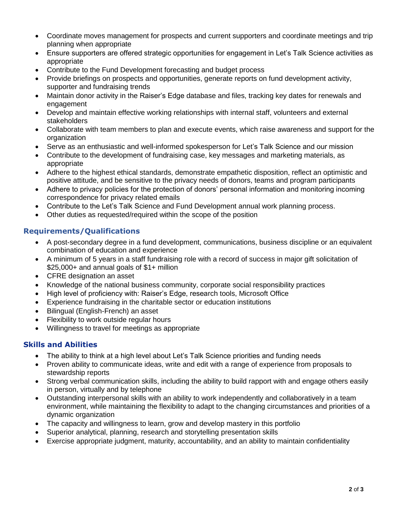- Coordinate moves management for prospects and current supporters and coordinate meetings and trip planning when appropriate
- Ensure supporters are offered strategic opportunities for engagement in Let's Talk Science activities as appropriate
- Contribute to the Fund Development forecasting and budget process
- Provide briefings on prospects and opportunities, generate reports on fund development activity, supporter and fundraising trends
- Maintain donor activity in the Raiser's Edge database and files, tracking key dates for renewals and engagement
- Develop and maintain effective working relationships with internal staff, volunteers and external stakeholders
- Collaborate with team members to plan and execute events, which raise awareness and support for the organization
- Serve as an enthusiastic and well-informed spokesperson for Let's Talk Science and our mission
- Contribute to the development of fundraising case, key messages and marketing materials, as appropriate
- Adhere to the highest ethical standards, demonstrate empathetic disposition, reflect an optimistic and positive attitude, and be sensitive to the privacy needs of donors, teams and program participants
- Adhere to privacy policies for the protection of donors' personal information and monitoring incoming correspondence for privacy related emails
- Contribute to the Let's Talk Science and Fund Development annual work planning process.
- Other duties as requested/required within the scope of the position

## **Requirements/Qualifications**

- A post-secondary degree in a fund development, communications, business discipline or an equivalent combination of education and experience
- A minimum of 5 years in a staff fundraising role with a record of success in major gift solicitation of \$25,000+ and annual goals of \$1+ million
- CFRE designation an asset
- Knowledge of the national business community, corporate social responsibility practices
- High level of proficiency with: Raiser's Edge, research tools, Microsoft Office
- Experience fundraising in the charitable sector or education institutions
- Bilingual (English-French) an asset
- Flexibility to work outside regular hours
- Willingness to travel for meetings as appropriate

#### **Skills and Abilities**

- The ability to think at a high level about Let's Talk Science priorities and funding needs
- Proven ability to communicate ideas, write and edit with a range of experience from proposals to stewardship reports
- Strong verbal communication skills, including the ability to build rapport with and engage others easily in person, virtually and by telephone
- Outstanding interpersonal skills with an ability to work independently and collaboratively in a team environment, while maintaining the flexibility to adapt to the changing circumstances and priorities of a dynamic organization
- The capacity and willingness to learn, grow and develop mastery in this portfolio
- Superior analytical, planning, research and storytelling presentation skills
- Exercise appropriate judgment, maturity, accountability, and an ability to maintain confidentiality